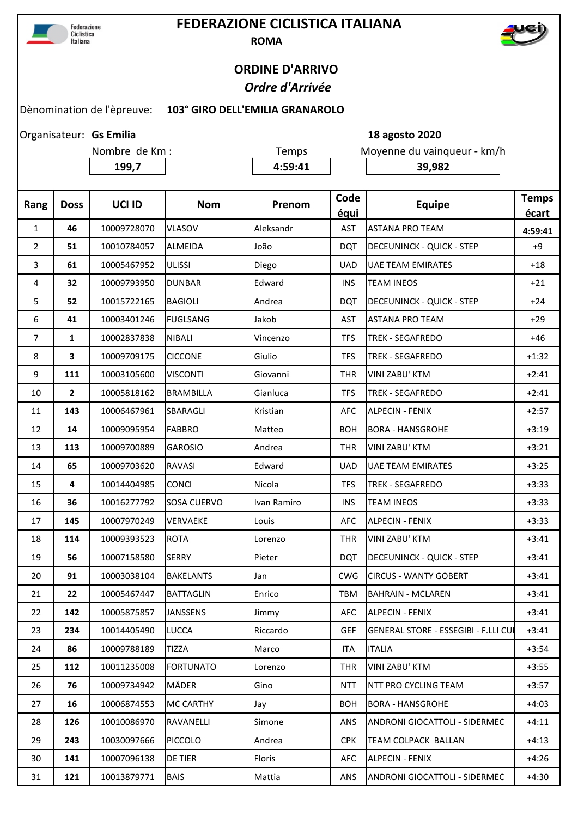

## **FEDERAZIONE CICLISTICA ITALIANA ROMA**



## **ORDINE D'ARRIVO**  *Ordre d'Arrivée*

**Gs Emilia 18 agosto 2020**

## Dènomination de l'èpreuve: **103° GIRO DELL'EMILIA GRANAROLO**

Organisateur: Gs Emilia

| Nombre de Km : |                |             | Temps              |             | Moyenne du vainqueur - km/h |                                             |                       |
|----------------|----------------|-------------|--------------------|-------------|-----------------------------|---------------------------------------------|-----------------------|
|                |                | 199,7       |                    | 4:59:41     |                             | 39,982                                      |                       |
|                |                |             |                    |             |                             |                                             |                       |
| Rang           | <b>Doss</b>    | UCI ID      | <b>Nom</b>         | Prenom      | Code<br>équi                | <b>Equipe</b>                               | <b>Temps</b><br>écart |
| $\mathbf{1}$   | 46             | 10009728070 | <b>VLASOV</b>      | Aleksandr   | AST                         | <b>ASTANA PRO TEAM</b>                      | 4:59:41               |
| $\overline{2}$ | 51             | 10010784057 | <b>ALMEIDA</b>     | João        | <b>DQT</b>                  | <b>DECEUNINCK - QUICK - STEP</b>            | $+9$                  |
| 3              | 61             | 10005467952 | <b>ULISSI</b>      | Diego       | <b>UAD</b>                  | <b>UAE TEAM EMIRATES</b>                    | $+18$                 |
| 4              | 32             | 10009793950 | <b>DUNBAR</b>      | Edward      | <b>INS</b>                  | <b>TEAM INEOS</b>                           | $+21$                 |
| 5              | 52             | 10015722165 | <b>BAGIOLI</b>     | Andrea      | <b>DQT</b>                  | <b>DECEUNINCK - QUICK - STEP</b>            | $+24$                 |
| 6              | 41             | 10003401246 | <b>FUGLSANG</b>    | Jakob       | AST                         | <b>ASTANA PRO TEAM</b>                      | $+29$                 |
| 7              | 1              | 10002837838 | <b>NIBALI</b>      | Vincenzo    | TFS                         | <b>TREK - SEGAFREDO</b>                     | $+46$                 |
| 8              | 3              | 10009709175 | <b>CICCONE</b>     | Giulio      | <b>TFS</b>                  | <b>TREK - SEGAFREDO</b>                     | $+1:32$               |
| 9              | 111            | 10003105600 | <b>VISCONTI</b>    | Giovanni    | <b>THR</b>                  | VINI ZABU' KTM                              | $+2:41$               |
| 10             | $\overline{2}$ | 10005818162 | <b>BRAMBILLA</b>   | Gianluca    | <b>TFS</b>                  | <b>TREK - SEGAFREDO</b>                     | $+2:41$               |
| 11             | 143            | 10006467961 | SBARAGLI           | Kristian    | AFC                         | <b>ALPECIN - FENIX</b>                      | $+2:57$               |
| 12             | 14             | 10009095954 | <b>FABBRO</b>      | Matteo      | <b>BOH</b>                  | <b>BORA - HANSGROHE</b>                     | $+3:19$               |
| 13             | 113            | 10009700889 | <b>GAROSIO</b>     | Andrea      | <b>THR</b>                  | <b>VINI ZABU' KTM</b>                       | $+3:21$               |
| 14             | 65             | 10009703620 | RAVASI             | Edward      | <b>UAD</b>                  | <b>UAE TEAM EMIRATES</b>                    | $+3:25$               |
| 15             | 4              | 10014404985 | <b>CONCI</b>       | Nicola      | <b>TFS</b>                  | <b>TREK - SEGAFREDO</b>                     | $+3:33$               |
| 16             | 36             | 10016277792 | <b>SOSA CUERVO</b> | Ivan Ramiro | <b>INS</b>                  | <b>TEAM INEOS</b>                           | $+3:33$               |
| 17             | 145            | 10007970249 | VERVAEKE           | Louis       | <b>AFC</b>                  | <b>ALPECIN - FENIX</b>                      | $+3:33$               |
| 18             | 114            | 10009393523 | <b>ROTA</b>        | Lorenzo     | <b>THR</b>                  | <b>VINI ZABU' KTM</b>                       | $+3:41$               |
| 19             | 56             | 10007158580 | <b>SERRY</b>       | Pieter      | <b>DQT</b>                  | <b>DECEUNINCK - QUICK - STEP</b>            | $+3:41$               |
| 20             | 91             | 10003038104 | <b>BAKELANTS</b>   | Jan         | <b>CWG</b>                  | <b>CIRCUS - WANTY GOBERT</b>                | $+3:41$               |
| 21             | 22             | 10005467447 | <b>BATTAGLIN</b>   | Enrico      | TBM                         | <b>BAHRAIN - MCLAREN</b>                    | $+3:41$               |
| 22             | 142            | 10005875857 | <b>JANSSENS</b>    | Jimmy       | <b>AFC</b>                  | <b>ALPECIN - FENIX</b>                      | $+3:41$               |
| 23             | 234            | 10014405490 | <b>LUCCA</b>       | Riccardo    | <b>GEF</b>                  | <b>GENERAL STORE - ESSEGIBI - F.LLI CUI</b> | $+3:41$               |
| 24             | 86             | 10009788189 | <b>TIZZA</b>       | Marco       | <b>ITA</b>                  | <b>ITALIA</b>                               | $+3:54$               |
| 25             | 112            | 10011235008 | <b>FORTUNATO</b>   | Lorenzo     | <b>THR</b>                  | VINI ZABU' KTM                              | $+3:55$               |
| 26             | 76             | 10009734942 | MÄDER              | Gino        | <b>NTT</b>                  | <b>NTT PRO CYCLING TEAM</b>                 | $+3:57$               |
| 27             | 16             | 10006874553 | <b>MC CARTHY</b>   | Jay         | <b>BOH</b>                  | <b>BORA - HANSGROHE</b>                     | $+4:03$               |
| 28             | 126            | 10010086970 | RAVANELLI          | Simone      | <b>ANS</b>                  | ANDRONI GIOCATTOLI - SIDERMEC               | $+4:11$               |
| 29             | 243            | 10030097666 | PICCOLO            | Andrea      | <b>CPK</b>                  | <b>TEAM COLPACK BALLAN</b>                  | $+4:13$               |
| 30             | 141            | 10007096138 | DE TIER            | Floris      | AFC                         | <b>ALPECIN - FENIX</b>                      | $+4:26$               |

**121** 10013879771 BAIS Mattia ANS ANDRONI GIOCATTOLI - SIDERMEC +4:30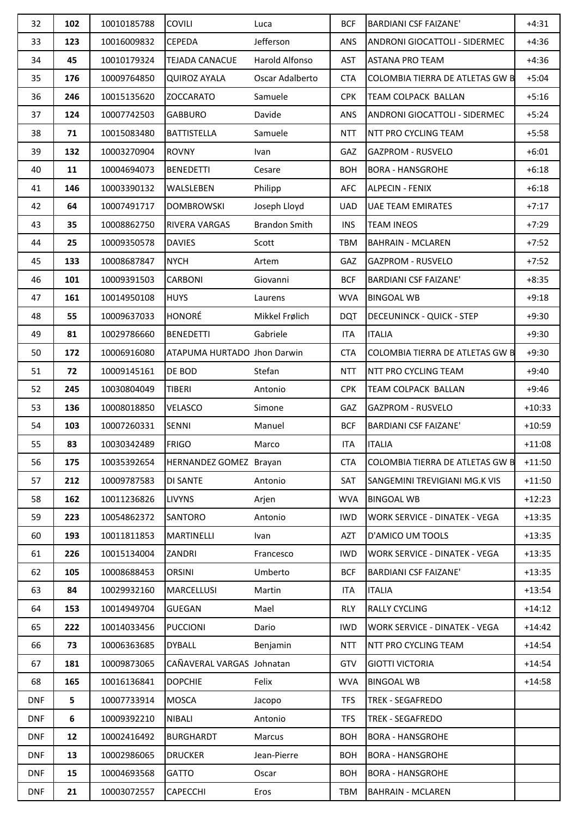| 32         | 102 | 10010185788 | <b>COVILI</b>                 | Luca                 | <b>BCF</b> | <b>BARDIANI CSF FAIZANE'</b>         | $+4:31$  |
|------------|-----|-------------|-------------------------------|----------------------|------------|--------------------------------------|----------|
| 33         | 123 | 10016009832 | <b>CEPEDA</b>                 | Jefferson            | ANS        | ANDRONI GIOCATTOLI - SIDERMEC        | $+4:36$  |
| 34         | 45  | 10010179324 | <b>TEJADA CANACUE</b>         | Harold Alfonso       | <b>AST</b> | <b>ASTANA PRO TEAM</b>               | $+4:36$  |
| 35         | 176 | 10009764850 | <b>QUIROZ AYALA</b>           | Oscar Adalberto      | <b>CTA</b> | COLOMBIA TIERRA DE ATLETAS GW B      | $+5:04$  |
| 36         | 246 | 10015135620 | <b>ZOCCARATO</b>              | Samuele              | <b>CPK</b> | TEAM COLPACK BALLAN                  | $+5:16$  |
| 37         | 124 | 10007742503 | <b>GABBURO</b>                | Davide               | <b>ANS</b> | ANDRONI GIOCATTOLI - SIDERMEC        | $+5:24$  |
| 38         | 71  | 10015083480 | <b>BATTISTELLA</b>            | Samuele              | <b>NTT</b> | NTT PRO CYCLING TEAM                 | $+5:58$  |
| 39         | 132 | 10003270904 | <b>ROVNY</b>                  | Ivan                 | GAZ        | <b>GAZPROM - RUSVELO</b>             | $+6:01$  |
| 40         | 11  | 10004694073 | <b>BENEDETTI</b>              | Cesare               | <b>BOH</b> | <b>BORA - HANSGROHE</b>              | $+6:18$  |
| 41         | 146 | 10003390132 | WALSLEBEN                     | Philipp              | <b>AFC</b> | <b>ALPECIN - FENIX</b>               | $+6:18$  |
| 42         | 64  | 10007491717 | <b>DOMBROWSKI</b>             | Joseph Lloyd         | <b>UAD</b> | <b>UAE TEAM EMIRATES</b>             | $+7:17$  |
| 43         | 35  | 10008862750 | RIVERA VARGAS                 | <b>Brandon Smith</b> | <b>INS</b> | <b>TEAM INEOS</b>                    | $+7:29$  |
| 44         | 25  | 10009350578 | <b>DAVIES</b>                 | Scott                | <b>TBM</b> | <b>BAHRAIN - MCLAREN</b>             | $+7:52$  |
| 45         | 133 | 10008687847 | <b>NYCH</b>                   | Artem                | GAZ        | <b>GAZPROM - RUSVELO</b>             | $+7:52$  |
| 46         | 101 | 10009391503 | <b>CARBONI</b>                | Giovanni             | <b>BCF</b> | <b>BARDIANI CSF FAIZANE'</b>         | $+8:35$  |
| 47         | 161 | 10014950108 | <b>HUYS</b>                   | Laurens              | <b>WVA</b> | <b>BINGOAL WB</b>                    | $+9:18$  |
| 48         | 55  | 10009637033 | <b>HONORÉ</b>                 | Mikkel Frølich       | <b>DQT</b> | <b>DECEUNINCK - QUICK - STEP</b>     | $+9:30$  |
| 49         | 81  | 10029786660 | <b>BENEDETTI</b>              | Gabriele             | <b>ITA</b> | <b>ITALIA</b>                        | $+9:30$  |
| 50         | 172 | 10006916080 | ATAPUMA HURTADO Jhon Darwin   |                      | <b>CTA</b> | COLOMBIA TIERRA DE ATLETAS GW B      | $+9:30$  |
| 51         | 72  | 10009145161 | DE BOD                        | Stefan               | <b>NTT</b> | NTT PRO CYCLING TEAM                 | $+9:40$  |
| 52         | 245 | 10030804049 | <b>TIBERI</b>                 | Antonio              | <b>CPK</b> | TEAM COLPACK BALLAN                  | $+9:46$  |
| 53         | 136 | 10008018850 | VELASCO                       | Simone               | GAZ        | <b>GAZPROM - RUSVELO</b>             | $+10:33$ |
| 54         | 103 | 10007260331 | SENNI                         | Manuel               | <b>BCF</b> | <b>BARDIANI CSF FAIZANE'</b>         | $+10:59$ |
| 55         | 83  | 10030342489 | <b>FRIGO</b>                  | Marco                | ITA        | <b>ITALIA</b>                        | $+11:08$ |
| 56         | 175 | 10035392654 | <b>HERNANDEZ GOMEZ Brayan</b> |                      | CTA        | COLOMBIA TIERRA DE ATLETAS GW B      | $+11:50$ |
| 57         | 212 | 10009787583 | <b>DI SANTE</b>               | Antonio              | SAT        | SANGEMINI TREVIGIANI MG.K VIS        | $+11:50$ |
| 58         | 162 | 10011236826 | <b>LIVYNS</b>                 | Arjen                | <b>WVA</b> | <b>BINGOAL WB</b>                    | $+12:23$ |
| 59         | 223 | 10054862372 | <b>SANTORO</b>                | Antonio              | <b>IWD</b> | WORK SERVICE - DINATEK - VEGA        | $+13:35$ |
| 60         | 193 | 10011811853 | <b>MARTINELLI</b>             | Ivan                 | <b>AZT</b> | D'AMICO UM TOOLS                     | $+13:35$ |
| 61         | 226 | 10015134004 | ZANDRI                        | Francesco            | <b>IWD</b> | <b>WORK SERVICE - DINATEK - VEGA</b> | $+13:35$ |
| 62         | 105 | 10008688453 | <b>ORSINI</b>                 | Umberto              | <b>BCF</b> | <b>BARDIANI CSF FAIZANE'</b>         | $+13:35$ |
| 63         | 84  | 10029932160 | MARCELLUSI                    | Martin               | ITA        | <b>ITALIA</b>                        | $+13:54$ |
| 64         | 153 | 10014949704 | <b>GUEGAN</b>                 | Mael                 | <b>RLY</b> | RALLY CYCLING                        | $+14:12$ |
| 65         | 222 | 10014033456 | <b>PUCCIONI</b>               | Dario                | <b>IWD</b> | WORK SERVICE - DINATEK - VEGA        | $+14:42$ |
| 66         | 73  | 10006363685 | <b>DYBALL</b>                 | Benjamin             | <b>NTT</b> | NTT PRO CYCLING TEAM                 | $+14:54$ |
| 67         | 181 | 10009873065 | CAÑAVERAL VARGAS Johnatan     |                      | GTV        | <b>GIOTTI VICTORIA</b>               | $+14:54$ |
| 68         | 165 | 10016136841 | <b>DOPCHIE</b>                | Felix                | <b>WVA</b> | <b>BINGOAL WB</b>                    | $+14:58$ |
| <b>DNF</b> | 5   | 10007733914 | <b>MOSCA</b>                  | Jacopo               | <b>TFS</b> | TREK - SEGAFREDO                     |          |
| <b>DNF</b> | 6   | 10009392210 | NIBALI                        | Antonio              | <b>TFS</b> | TREK - SEGAFREDO                     |          |
| <b>DNF</b> | 12  | 10002416492 | <b>BURGHARDT</b>              | Marcus               | <b>BOH</b> | <b>BORA - HANSGROHE</b>              |          |
| <b>DNF</b> | 13  | 10002986065 | <b>DRUCKER</b>                | Jean-Pierre          | <b>BOH</b> | <b>BORA - HANSGROHE</b>              |          |
| <b>DNF</b> | 15  | 10004693568 | <b>GATTO</b>                  | Oscar                | <b>BOH</b> | <b>BORA - HANSGROHE</b>              |          |
| <b>DNF</b> | 21  | 10003072557 | <b>CAPECCHI</b>               | Eros                 | TBM        | <b>BAHRAIN - MCLAREN</b>             |          |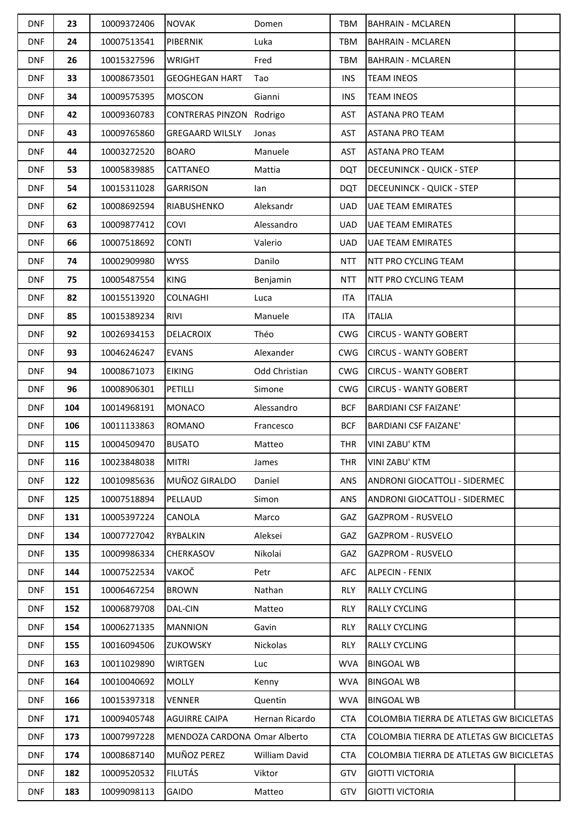| <b>DNF</b> | 23  | 10009372406 | <b>NOVAK</b>                 | Domen          | TBM        | <b>BAHRAIN - MCLAREN</b>                 |  |
|------------|-----|-------------|------------------------------|----------------|------------|------------------------------------------|--|
| <b>DNF</b> | 24  | 10007513541 | <b>PIBERNIK</b>              | Luka           | TBM        | <b>BAHRAIN - MCLAREN</b>                 |  |
| <b>DNF</b> | 26  | 10015327596 | <b>WRIGHT</b>                | Fred           | <b>TBM</b> | <b>BAHRAIN - MCLAREN</b>                 |  |
| <b>DNF</b> | 33  | 10008673501 | <b>GEOGHEGAN HART</b>        | Tao            | <b>INS</b> | <b>TEAM INEOS</b>                        |  |
| <b>DNF</b> | 34  | 10009575395 | <b>MOSCON</b>                | Gianni         | <b>INS</b> | <b>TEAM INEOS</b>                        |  |
| <b>DNF</b> | 42  | 10009360783 | CONTRERAS PINZON Rodrigo     |                | AST        | <b>ASTANA PRO TEAM</b>                   |  |
| <b>DNF</b> | 43  | 10009765860 | <b>GREGAARD WILSLY</b>       | Jonas          | AST        | <b>ASTANA PRO TEAM</b>                   |  |
| <b>DNF</b> | 44  | 10003272520 | <b>BOARO</b>                 | Manuele        | AST        | <b>ASTANA PRO TEAM</b>                   |  |
| <b>DNF</b> | 53  | 10005839885 | CATTANEO                     | Mattia         | <b>DQT</b> | <b>DECEUNINCK - QUICK - STEP</b>         |  |
| <b>DNF</b> | 54  | 10015311028 | <b>GARRISON</b>              | lan            | <b>DQT</b> | <b>DECEUNINCK - QUICK - STEP</b>         |  |
| <b>DNF</b> | 62  | 10008692594 | RIABUSHENKO                  | Aleksandr      | <b>UAD</b> | <b>UAE TEAM EMIRATES</b>                 |  |
| <b>DNF</b> | 63  | 10009877412 | COVI                         | Alessandro     | <b>UAD</b> | <b>UAE TEAM EMIRATES</b>                 |  |
| <b>DNF</b> | 66  | 10007518692 | <b>CONTI</b>                 | Valerio        | <b>UAD</b> | <b>UAE TEAM EMIRATES</b>                 |  |
| <b>DNF</b> | 74  | 10002909980 | <b>WYSS</b>                  | Danilo         | <b>NTT</b> | <b>NTT PRO CYCLING TEAM</b>              |  |
| <b>DNF</b> | 75  | 10005487554 | <b>KING</b>                  | Benjamin       | <b>NTT</b> | <b>NTT PRO CYCLING TEAM</b>              |  |
| <b>DNF</b> | 82  | 10015513920 | <b>COLNAGHI</b>              | Luca           | ITA        | <b>ITALIA</b>                            |  |
| <b>DNF</b> | 85  | 10015389234 | <b>RIVI</b>                  | Manuele        | <b>ITA</b> | <b>ITALIA</b>                            |  |
| <b>DNF</b> | 92  | 10026934153 | <b>DELACROIX</b>             | Théo           | <b>CWG</b> | <b>CIRCUS - WANTY GOBERT</b>             |  |
| <b>DNF</b> | 93  | 10046246247 | <b>EVANS</b>                 | Alexander      | <b>CWG</b> | <b>CIRCUS - WANTY GOBERT</b>             |  |
| <b>DNF</b> | 94  | 10008671073 | <b>EIKING</b>                | Odd Christian  | <b>CWG</b> | <b>CIRCUS - WANTY GOBERT</b>             |  |
| <b>DNF</b> | 96  | 10008906301 | PETILLI                      | Simone         | <b>CWG</b> | <b>CIRCUS - WANTY GOBERT</b>             |  |
| <b>DNF</b> | 104 | 10014968191 | <b>MONACO</b>                | Alessandro     | <b>BCF</b> | <b>BARDIANI CSF FAIZANE'</b>             |  |
| <b>DNF</b> | 106 | 10011133863 | <b>ROMANO</b>                | Francesco      | <b>BCF</b> | <b>BARDIANI CSF FAIZANE'</b>             |  |
| <b>DNF</b> | 115 | 10004509470 | <b>BUSATO</b>                | Matteo         | THR        | <b>VINI ZABU' KTM</b>                    |  |
| <b>DNF</b> | 116 | 10023848038 | <b>MITRI</b>                 | James          | THR        | <b>VINI ZABU' KTM</b>                    |  |
| <b>DNF</b> | 122 | 10010985636 | MUÑOZ GIRALDO                | Daniel         | ANS        | ANDRONI GIOCATTOLI - SIDERMEC            |  |
| <b>DNF</b> | 125 | 10007518894 | PELLAUD                      | Simon          | <b>ANS</b> | ANDRONI GIOCATTOLI - SIDERMEC            |  |
| <b>DNF</b> | 131 | 10005397224 | CANOLA                       | Marco          | GAZ        | <b>GAZPROM - RUSVELO</b>                 |  |
| <b>DNF</b> | 134 | 10007727042 | RYBALKIN                     | Aleksei        | GAZ        | <b>GAZPROM - RUSVELO</b>                 |  |
| <b>DNF</b> | 135 | 10009986334 | CHERKASOV                    | Nikolai        | <b>GAZ</b> | <b>GAZPROM - RUSVELO</b>                 |  |
| <b>DNF</b> | 144 | 10007522534 | VAKOČ                        | Petr           | <b>AFC</b> | <b>ALPECIN - FENIX</b>                   |  |
| <b>DNF</b> | 151 | 10006467254 | <b>BROWN</b>                 | Nathan         | <b>RLY</b> | <b>RALLY CYCLING</b>                     |  |
| <b>DNF</b> | 152 | 10006879708 | DAL-CIN                      | Matteo         | <b>RLY</b> | <b>RALLY CYCLING</b>                     |  |
| <b>DNF</b> | 154 | 10006271335 | <b>MANNION</b>               | Gavin          | <b>RLY</b> | <b>RALLY CYCLING</b>                     |  |
| <b>DNF</b> | 155 | 10016094506 | ZUKOWSKY                     | Nickolas       | <b>RLY</b> | <b>RALLY CYCLING</b>                     |  |
| <b>DNF</b> | 163 | 10011029890 | <b>WIRTGEN</b>               | Luc            | <b>WVA</b> | <b>BINGOAL WB</b>                        |  |
| <b>DNF</b> | 164 | 10010040692 | <b>MOLLY</b>                 | Kenny          | <b>WVA</b> | <b>BINGOAL WB</b>                        |  |
| <b>DNF</b> | 166 | 10015397318 | <b>VENNER</b>                | Quentin        | <b>WVA</b> | <b>BINGOAL WB</b>                        |  |
| <b>DNF</b> | 171 | 10009405748 | <b>AGUIRRE CAIPA</b>         | Hernan Ricardo | <b>CTA</b> | COLOMBIA TIERRA DE ATLETAS GW BICICLETAS |  |
| <b>DNF</b> | 173 | 10007997228 | MENDOZA CARDONA Omar Alberto |                | <b>CTA</b> | COLOMBIA TIERRA DE ATLETAS GW BICICLETAS |  |
| <b>DNF</b> | 174 | 10008687140 | MUÑOZ PEREZ                  | William David  | <b>CTA</b> | COLOMBIA TIERRA DE ATLETAS GW BICICLETAS |  |
| <b>DNF</b> | 182 | 10009520532 | <b>FILUTÁS</b>               | Viktor         | GTV        | <b>GIOTTI VICTORIA</b>                   |  |
| <b>DNF</b> | 183 | 10099098113 | GAIDO                        | Matteo         | GTV        | <b>GIOTTI VICTORIA</b>                   |  |